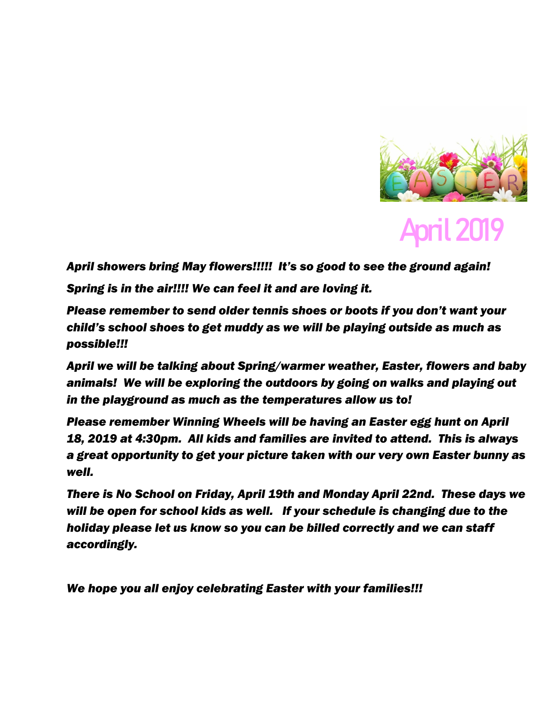

## April 2019

*April showers bring May flowers!!!!! It's so good to see the ground again! Spring is in the air!!!! We can feel it and are loving it.* 

*Please remember to send older tennis shoes or boots if you don't want your child's school shoes to get muddy as we will be playing outside as much as possible!!!*

*April we will be talking about Spring/warmer weather, Easter, flowers and baby animals! We will be exploring the outdoors by going on walks and playing out in the playground as much as the temperatures allow us to!* 

*Please remember Winning Wheels will be having an Easter egg hunt on April 18, 2019 at 4:30pm. All kids and families are invited to attend. This is always a great opportunity to get your picture taken with our very own Easter bunny as well.* 

*There is No School on Friday, April 19th and Monday April 22nd. These days we will be open for school kids as well. If your schedule is changing due to the holiday please let us know so you can be billed correctly and we can staff accordingly.* 

*We hope you all enjoy celebrating Easter with your families!!!*